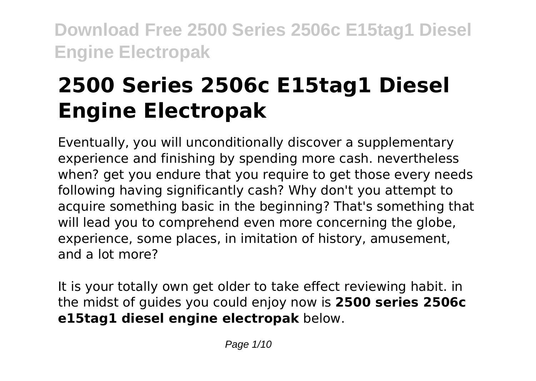# **2500 Series 2506c E15tag1 Diesel Engine Electropak**

Eventually, you will unconditionally discover a supplementary experience and finishing by spending more cash. nevertheless when? get you endure that you require to get those every needs following having significantly cash? Why don't you attempt to acquire something basic in the beginning? That's something that will lead you to comprehend even more concerning the globe, experience, some places, in imitation of history, amusement, and a lot more?

It is your totally own get older to take effect reviewing habit. in the midst of guides you could enjoy now is **2500 series 2506c e15tag1 diesel engine electropak** below.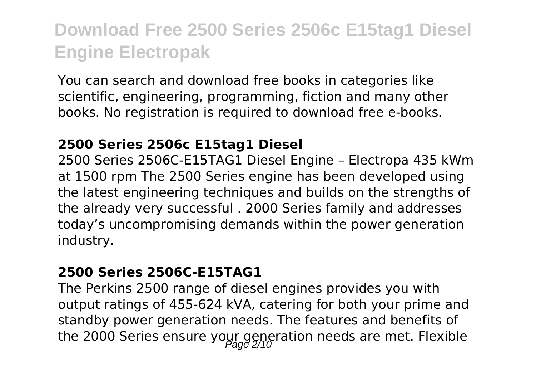You can search and download free books in categories like scientific, engineering, programming, fiction and many other books. No registration is required to download free e-books.

#### **2500 Series 2506c E15tag1 Diesel**

2500 Series 2506C-E15TAG1 Diesel Engine – Electropa 435 kWm at 1500 rpm The 2500 Series engine has been developed using the latest engineering techniques and builds on the strengths of the already very successful . 2000 Series family and addresses today's uncompromising demands within the power generation industry.

#### **2500 Series 2506C-E15TAG1**

The Perkins 2500 range of diesel engines provides you with output ratings of 455-624 kVA, catering for both your prime and standby power generation needs. The features and benefits of the 2000 Series ensure your generation needs are met. Flexible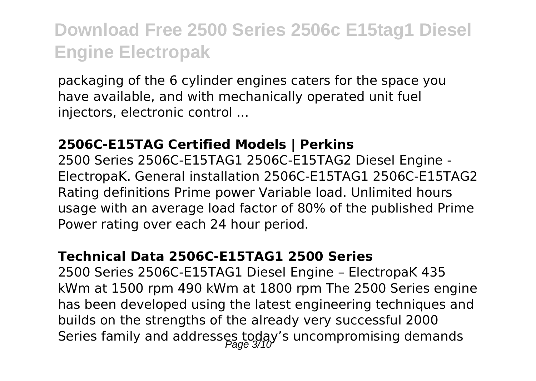packaging of the 6 cylinder engines caters for the space you have available, and with mechanically operated unit fuel injectors, electronic control ...

#### **2506C-E15TAG Certified Models | Perkins**

2500 Series 2506C-E15TAG1 2506C-E15TAG2 Diesel Engine - ElectropaK. General installation 2506C-E15TAG1 2506C-E15TAG2 Rating definitions Prime power Variable load. Unlimited hours usage with an average load factor of 80% of the published Prime Power rating over each 24 hour period.

#### **Technical Data 2506C-E15TAG1 2500 Series**

2500 Series 2506C-E15TAG1 Diesel Engine – ElectropaK 435 kWm at 1500 rpm 490 kWm at 1800 rpm The 2500 Series engine has been developed using the latest engineering techniques and builds on the strengths of the already very successful 2000 Series family and addresses today's uncompromising demands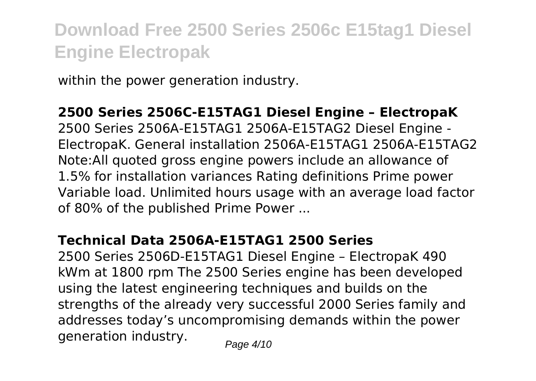within the power generation industry.

**2500 Series 2506C-E15TAG1 Diesel Engine – ElectropaK** 2500 Series 2506A-E15TAG1 2506A-E15TAG2 Diesel Engine - ElectropaK. General installation 2506A-E15TAG1 2506A-E15TAG2 Note:All quoted gross engine powers include an allowance of 1.5% for installation variances Rating definitions Prime power Variable load. Unlimited hours usage with an average load factor of 80% of the published Prime Power ...

### **Technical Data 2506A-E15TAG1 2500 Series**

2500 Series 2506D-E15TAG1 Diesel Engine – ElectropaK 490 kWm at 1800 rpm The 2500 Series engine has been developed using the latest engineering techniques and builds on the strengths of the already very successful 2000 Series family and addresses today's uncompromising demands within the power generation industry.  $P_{\text{a}q} = 4/10$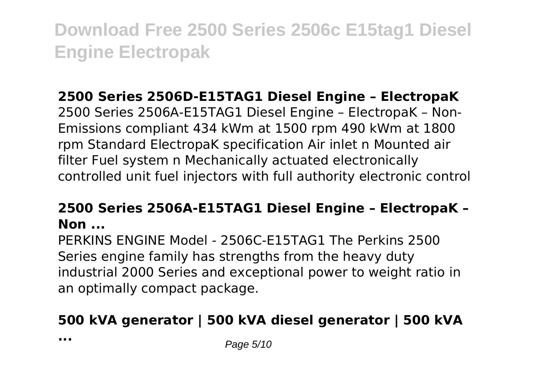## **2500 Series 2506D-E15TAG1 Diesel Engine – ElectropaK**

2500 Series 2506A-E15TAG1 Diesel Engine – ElectropaK – Non-Emissions compliant 434 kWm at 1500 rpm 490 kWm at 1800 rpm Standard ElectropaK specification Air inlet n Mounted air filter Fuel system n Mechanically actuated electronically controlled unit fuel injectors with full authority electronic control

### **2500 Series 2506A-E15TAG1 Diesel Engine – ElectropaK – Non ...**

PERKINS ENGINE Model - 2506C-E15TAG1 The Perkins 2500 Series engine family has strengths from the heavy duty industrial 2000 Series and exceptional power to weight ratio in an optimally compact package.

## **500 kVA generator | 500 kVA diesel generator | 500 kVA**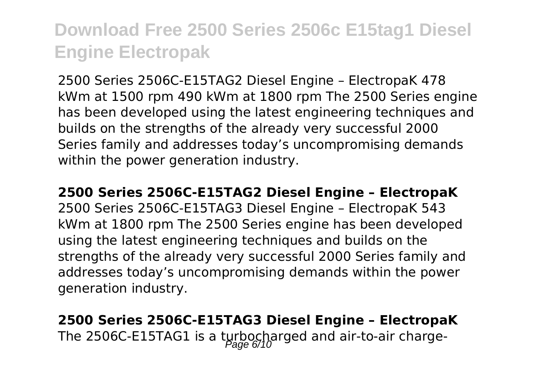2500 Series 2506C-E15TAG2 Diesel Engine – ElectropaK 478 kWm at 1500 rpm 490 kWm at 1800 rpm The 2500 Series engine has been developed using the latest engineering techniques and builds on the strengths of the already very successful 2000 Series family and addresses today's uncompromising demands within the power generation industry.

#### **2500 Series 2506C-E15TAG2 Diesel Engine – ElectropaK**

2500 Series 2506C-E15TAG3 Diesel Engine – ElectropaK 543 kWm at 1800 rpm The 2500 Series engine has been developed using the latest engineering techniques and builds on the strengths of the already very successful 2000 Series family and addresses today's uncompromising demands within the power generation industry.

## **2500 Series 2506C-E15TAG3 Diesel Engine – ElectropaK** The 2506C-E15TAG1 is a turbocharged and air-to-air charge-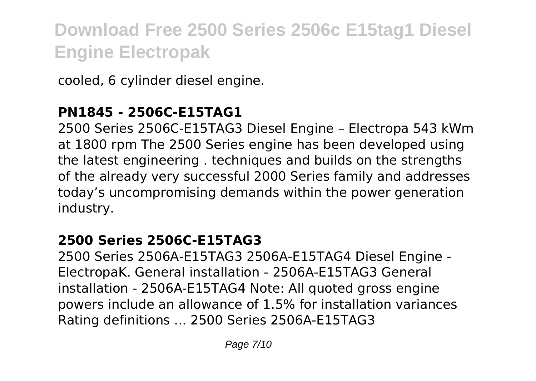cooled, 6 cylinder diesel engine.

### **PN1845 - 2506C-E15TAG1**

2500 Series 2506C-E15TAG3 Diesel Engine – Electropa 543 kWm at 1800 rpm The 2500 Series engine has been developed using the latest engineering . techniques and builds on the strengths of the already very successful 2000 Series family and addresses today's uncompromising demands within the power generation industry.

### **2500 Series 2506C-E15TAG3**

2500 Series 2506A-E15TAG3 2506A-E15TAG4 Diesel Engine - ElectropaK. General installation - 2506A-E15TAG3 General installation - 2506A-E15TAG4 Note: All quoted gross engine powers include an allowance of 1.5% for installation variances Rating definitions ... 2500 Series 2506A-E15TAG3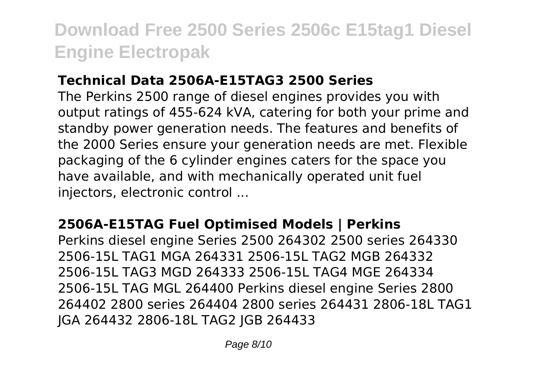### **Technical Data 2506A-E15TAG3 2500 Series**

The Perkins 2500 range of diesel engines provides you with output ratings of 455-624 kVA, catering for both your prime and standby power generation needs. The features and benefits of the 2000 Series ensure your generation needs are met. Flexible packaging of the 6 cylinder engines caters for the space you have available, and with mechanically operated unit fuel injectors, electronic control ...

### **2506A-E15TAG Fuel Optimised Models | Perkins**

Perkins diesel engine Series 2500 264302 2500 series 264330 2506-15L TAG1 MGA 264331 2506-15L TAG2 MGB 264332 2506-15L TAG3 MGD 264333 2506-15L TAG4 MGE 264334 2506-15L TAG MGL 264400 Perkins diesel engine Series 2800 264402 2800 series 264404 2800 series 264431 2806-18L TAG1 JGA 264432 2806-18L TAG2 JGB 264433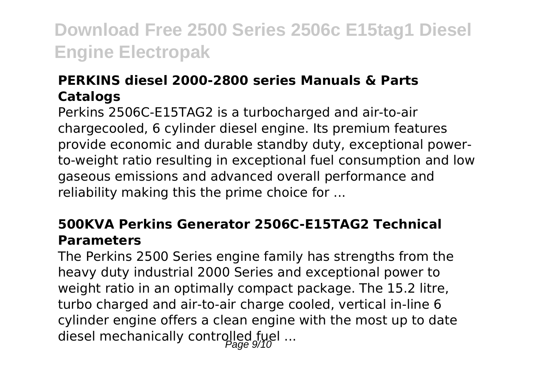### **PERKINS diesel 2000-2800 series Manuals & Parts Catalogs**

Perkins 2506C-E15TAG2 is a turbocharged and air-to-air chargecooled, 6 cylinder diesel engine. Its premium features provide economic and durable standby duty, exceptional powerto-weight ratio resulting in exceptional fuel consumption and low gaseous emissions and advanced overall performance and reliability making this the prime choice for ...

### **500KVA Perkins Generator 2506C-E15TAG2 Technical Parameters**

The Perkins 2500 Series engine family has strengths from the heavy duty industrial 2000 Series and exceptional power to weight ratio in an optimally compact package. The 15.2 litre, turbo charged and air-to-air charge cooled, vertical in-line 6 cylinder engine offers a clean engine with the most up to date diesel mechanically controlled fuel ...